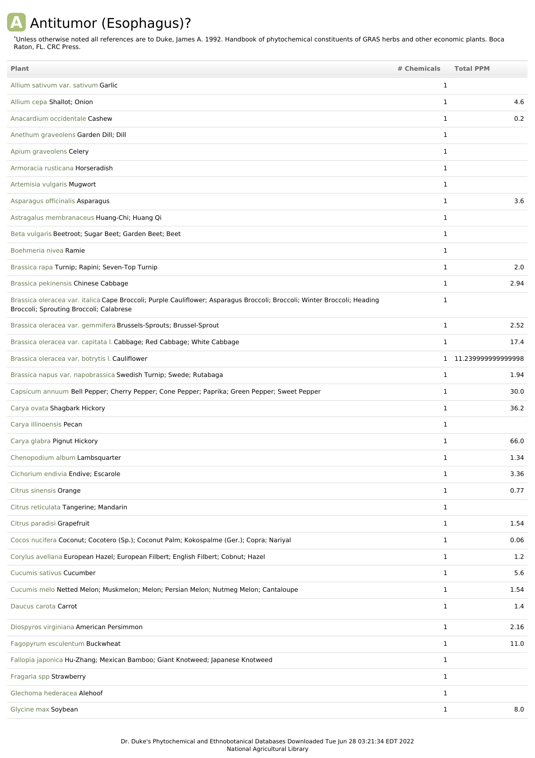## **A** Antitumor (Esophagus)?

Unless otherwise noted all references are to Duke, James A. 1992. Handbook of phytochemical constituents of GRAS herbs and other economic plants. Boca Raton, FL. CRC Press. \*

| <b>Plant</b>                                                                                                                                                        | # Chemicals  | <b>Total PPM</b>     |
|---------------------------------------------------------------------------------------------------------------------------------------------------------------------|--------------|----------------------|
| Allium sativum var. sativum Garlic                                                                                                                                  | 1            |                      |
| Allium cepa Shallot; Onion                                                                                                                                          | $\mathbf{1}$ | 4.6                  |
| Anacardium occidentale Cashew                                                                                                                                       | $\mathbf{1}$ | 0.2                  |
| Anethum graveolens Garden Dill; Dill                                                                                                                                | $\mathbf{1}$ |                      |
| Apium graveolens Celery                                                                                                                                             | $\mathbf{1}$ |                      |
| Armoracia rusticana Horseradish                                                                                                                                     | $\mathbf{1}$ |                      |
| Artemisia vulgaris Mugwort                                                                                                                                          | 1            |                      |
| Asparagus officinalis Asparagus                                                                                                                                     | $\mathbf{1}$ | 3.6                  |
| Astragalus membranaceus Huang-Chi; Huang Qi                                                                                                                         | 1            |                      |
| Beta vulgaris Beetroot; Sugar Beet; Garden Beet; Beet                                                                                                               | $\mathbf{1}$ |                      |
| Boehmeria nivea Ramie                                                                                                                                               | $\mathbf{1}$ |                      |
| Brassica rapa Turnip; Rapini; Seven-Top Turnip                                                                                                                      | $\mathbf{1}$ | 2.0                  |
| Brassica pekinensis Chinese Cabbage                                                                                                                                 | 1            | 2.94                 |
| Brassica oleracea var. italica Cape Broccoli; Purple Cauliflower; Asparagus Broccoli; Broccoli; Winter Broccoli; Heading<br>Broccoli; Sprouting Broccoli; Calabrese | $\mathbf{1}$ |                      |
| Brassica oleracea var. gemmifera Brussels-Sprouts; Brussel-Sprout                                                                                                   | 1            | 2.52                 |
| Brassica oleracea var. capitata I. Cabbage; Red Cabbage; White Cabbage                                                                                              | $\mathbf{1}$ | 17.4                 |
| Brassica oleracea var. botrytis I. Cauliflower                                                                                                                      |              | 1 11.239999999999998 |
| Brassica napus var. napobrassica Swedish Turnip; Swede; Rutabaga                                                                                                    | 1            | 1.94                 |
| Capsicum annuum Bell Pepper; Cherry Pepper; Cone Pepper; Paprika; Green Pepper; Sweet Pepper                                                                        | 1            | 30.0                 |
| Carya ovata Shagbark Hickory                                                                                                                                        | 1            | 36.2                 |
| Carya illinoensis Pecan                                                                                                                                             | $\mathbf{1}$ |                      |
| Carya glabra Pignut Hickory                                                                                                                                         | 1            | 66.0                 |
| Chenopodium album Lambsquarter                                                                                                                                      | 1            | 1.34                 |
| Cichorium endivia Endive; Escarole                                                                                                                                  | $\mathbf{1}$ | 3.36                 |
| Citrus sinensis Orange                                                                                                                                              | $\mathbf{1}$ | 0.77                 |
| Citrus reticulata Tangerine; Mandarin                                                                                                                               | $\mathbf{1}$ |                      |
| Citrus paradisi Grapefruit                                                                                                                                          | $\mathbf{1}$ | 1.54                 |
| Cocos nucifera Coconut; Cocotero (Sp.); Coconut Palm; Kokospalme (Ger.); Copra; Nariyal                                                                             | $\mathbf{1}$ | 0.06                 |
| Corylus avellana European Hazel; European Filbert; English Filbert; Cobnut; Hazel                                                                                   | $\mathbf{1}$ | 1.2                  |
| Cucumis sativus Cucumber                                                                                                                                            | $\mathbf{1}$ | 5.6                  |
| Cucumis melo Netted Melon; Muskmelon; Melon; Persian Melon; Nutmeg Melon; Cantaloupe                                                                                | $\mathbf{1}$ | 1.54                 |
| Daucus carota Carrot                                                                                                                                                | $\mathbf{1}$ | 1.4                  |
| Diospyros virginiana American Persimmon                                                                                                                             | $\mathbf{1}$ | 2.16                 |
| Fagopyrum esculentum Buckwheat                                                                                                                                      | $\mathbf{1}$ | 11.0                 |
| Fallopia japonica Hu-Zhang; Mexican Bamboo; Giant Knotweed; Japanese Knotweed                                                                                       | $\mathbf{1}$ |                      |
| Fragaria spp Strawberry                                                                                                                                             | $\mathbf{1}$ |                      |
| Glechoma hederacea Alehoof                                                                                                                                          | $\mathbf{1}$ |                      |
| Glycine max Soybean                                                                                                                                                 | $\mathbf{1}$ | 8.0                  |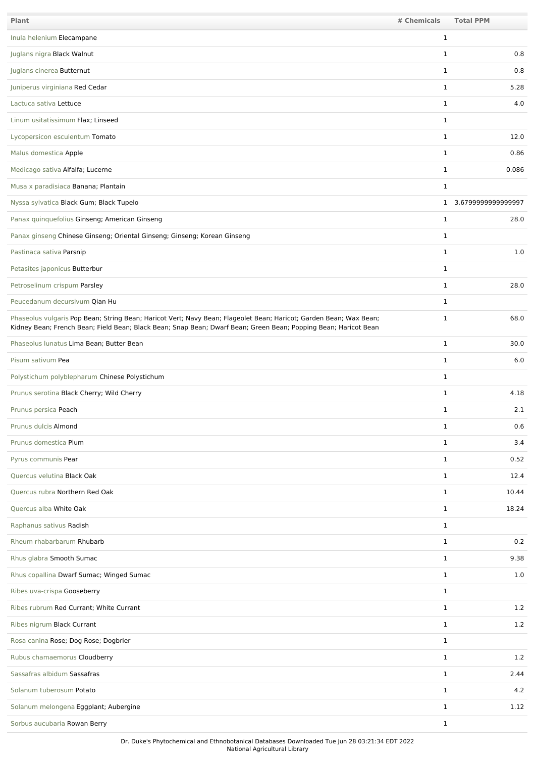| Plant                                                                                                                                                                                                                                 | # Chemicals  | <b>Total PPM</b>     |
|---------------------------------------------------------------------------------------------------------------------------------------------------------------------------------------------------------------------------------------|--------------|----------------------|
| Inula helenium Elecampane                                                                                                                                                                                                             | $\mathbf{1}$ |                      |
| Juglans nigra Black Walnut                                                                                                                                                                                                            | 1            | 0.8                  |
| Juglans cinerea Butternut                                                                                                                                                                                                             | 1            | 0.8                  |
| Juniperus virginiana Red Cedar                                                                                                                                                                                                        | $\mathbf{1}$ | 5.28                 |
| Lactuca sativa Lettuce                                                                                                                                                                                                                | $\mathbf{1}$ | 4.0                  |
| Linum usitatissimum Flax; Linseed                                                                                                                                                                                                     | $\mathbf{1}$ |                      |
| Lycopersicon esculentum Tomato                                                                                                                                                                                                        | $\mathbf{1}$ | 12.0                 |
| Malus domestica Apple                                                                                                                                                                                                                 | $\mathbf{1}$ | 0.86                 |
| Medicago sativa Alfalfa; Lucerne                                                                                                                                                                                                      | $\mathbf{1}$ | 0.086                |
| Musa x paradisiaca Banana; Plantain                                                                                                                                                                                                   | $\mathbf{1}$ |                      |
| Nyssa sylvatica Black Gum; Black Tupelo                                                                                                                                                                                               |              | 1 3.6799999999999997 |
| Panax quinquefolius Ginseng; American Ginseng                                                                                                                                                                                         | $\mathbf{1}$ | 28.0                 |
| Panax ginseng Chinese Ginseng; Oriental Ginseng; Ginseng; Korean Ginseng                                                                                                                                                              | $\mathbf{1}$ |                      |
| Pastinaca sativa Parsnip                                                                                                                                                                                                              | $\mathbf{1}$ | 1.0                  |
| Petasites japonicus Butterbur                                                                                                                                                                                                         | 1            |                      |
| Petroselinum crispum Parsley                                                                                                                                                                                                          | $\mathbf{1}$ | 28.0                 |
| Peucedanum decursivum Qian Hu                                                                                                                                                                                                         | $\mathbf{1}$ |                      |
| Phaseolus vulgaris Pop Bean; String Bean; Haricot Vert; Navy Bean; Flageolet Bean; Haricot; Garden Bean; Wax Bean;<br>Kidney Bean; French Bean; Field Bean; Black Bean; Snap Bean; Dwarf Bean; Green Bean; Popping Bean; Haricot Bean | $\mathbf{1}$ | 68.0                 |
| Phaseolus lunatus Lima Bean; Butter Bean                                                                                                                                                                                              | $\mathbf{1}$ | 30.0                 |
| Pisum sativum Pea                                                                                                                                                                                                                     | $\mathbf{1}$ | 6.0                  |
| Polystichum polyblepharum Chinese Polystichum                                                                                                                                                                                         | $\mathbf{1}$ |                      |
| Prunus serotina Black Cherry; Wild Cherry                                                                                                                                                                                             | $\mathbf{1}$ | 4.18                 |
| Prunus persica Peach                                                                                                                                                                                                                  | $\mathbf{1}$ | 2.1                  |
| Prunus dulcis Almond                                                                                                                                                                                                                  | $\mathbf{1}$ | 0.6                  |
| Prunus domestica Plum                                                                                                                                                                                                                 | $\mathbf{1}$ | 3.4                  |
| Pyrus communis Pear                                                                                                                                                                                                                   | $\mathbf{1}$ | 0.52                 |
| Quercus velutina Black Oak                                                                                                                                                                                                            | $\mathbf{1}$ | 12.4                 |
| Quercus rubra Northern Red Oak                                                                                                                                                                                                        | $\mathbf{1}$ | 10.44                |
| Quercus alba White Oak                                                                                                                                                                                                                | $\mathbf{1}$ | 18.24                |
| Raphanus sativus Radish                                                                                                                                                                                                               | $\mathbf{1}$ |                      |
| Rheum rhabarbarum Rhubarb                                                                                                                                                                                                             | $\mathbf{1}$ | 0.2                  |
| Rhus glabra Smooth Sumac                                                                                                                                                                                                              | $\mathbf{1}$ | 9.38                 |
| Rhus copallina Dwarf Sumac; Winged Sumac                                                                                                                                                                                              | $\mathbf{1}$ | 1.0                  |
| Ribes uva-crispa Gooseberry                                                                                                                                                                                                           | $\mathbf{1}$ |                      |
| Ribes rubrum Red Currant; White Currant                                                                                                                                                                                               | $\mathbf{1}$ | 1.2                  |
| Ribes nigrum Black Currant                                                                                                                                                                                                            | $\mathbf{1}$ | 1.2                  |
| Rosa canina Rose; Dog Rose; Dogbrier                                                                                                                                                                                                  | $\mathbf{1}$ |                      |
| Rubus chamaemorus Cloudberry                                                                                                                                                                                                          | $\mathbf{1}$ | 1.2                  |
| Sassafras albidum Sassafras                                                                                                                                                                                                           | $\mathbf{1}$ | 2.44                 |
| Solanum tuberosum Potato                                                                                                                                                                                                              | $\mathbf{1}$ | 4.2                  |
| Solanum melongena Eggplant; Aubergine                                                                                                                                                                                                 | $\mathbf{1}$ | 1.12                 |
| Sorbus aucubaria Rowan Berry                                                                                                                                                                                                          | $\mathbf{1}$ |                      |